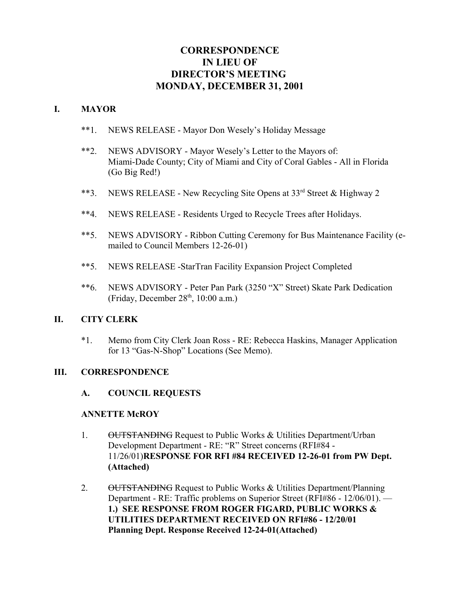# **CORRESPONDENCE IN LIEU OF DIRECTOR'S MEETING MONDAY, DECEMBER 31, 2001**

### **I. MAYOR**

- \*\*1. NEWS RELEASE Mayor Don Wesely's Holiday Message
- \*\*2. NEWS ADVISORY Mayor Wesely's Letter to the Mayors of: Miami-Dade County; City of Miami and City of Coral Gables - All in Florida (Go Big Red!)
- \*\*3. NEWS RELEASE New Recycling Site Opens at 33<sup>rd</sup> Street & Highway 2
- \*\*4. NEWS RELEASE Residents Urged to Recycle Trees after Holidays.
- \*\*5. NEWS ADVISORY Ribbon Cutting Ceremony for Bus Maintenance Facility (emailed to Council Members 12-26-01)
- \*\*5. NEWS RELEASE -StarTran Facility Expansion Project Completed
- \*\*6. NEWS ADVISORY Peter Pan Park (3250 "X" Street) Skate Park Dedication (Friday, December  $28<sup>th</sup>$ , 10:00 a.m.)

### **II. CITY CLERK**

\*1. Memo from City Clerk Joan Ross - RE: Rebecca Haskins, Manager Application for 13 "Gas-N-Shop" Locations (See Memo).

### **III. CORRESPONDENCE**

### **A. COUNCIL REQUESTS**

#### **ANNETTE McROY**

- 1. OUTSTANDING Request to Public Works & Utilities Department/Urban Development Department - RE: "R" Street concerns (RFI#84 - 11/26/01)**RESPONSE FOR RFI #84 RECEIVED 12-26-01 from PW Dept. (Attached)**
- 2. OUTSTANDING Request to Public Works & Utilities Department/Planning Department - RE: Traffic problems on Superior Street (RFI#86 - 12/06/01). — **1.) SEE RESPONSE FROM ROGER FIGARD, PUBLIC WORKS & UTILITIES DEPARTMENT RECEIVED ON RFI#86 - 12/20/01 Planning Dept. Response Received 12-24-01(Attached)**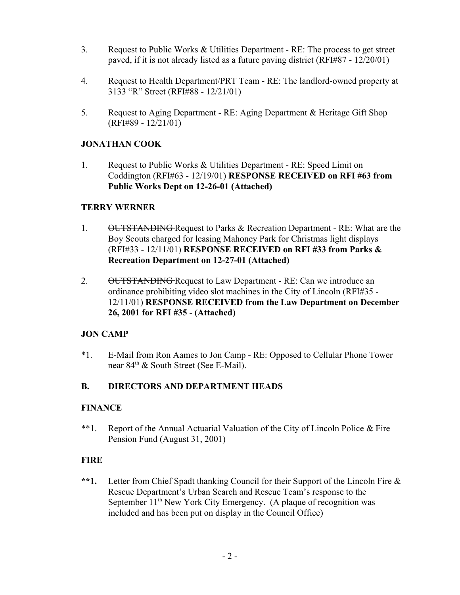- 3. Request to Public Works & Utilities Department RE: The process to get street paved, if it is not already listed as a future paving district (RFI#87 - 12/20/01)
- 4. Request to Health Department/PRT Team RE: The landlord-owned property at 3133 "R" Street (RFI#88 - 12/21/01)
- 5. Request to Aging Department RE: Aging Department & Heritage Gift Shop (RFI#89 - 12/21/01)

### **JONATHAN COOK**

1. Request to Public Works & Utilities Department - RE: Speed Limit on Coddington (RFI#63 - 12/19/01) **RESPONSE RECEIVED on RFI #63 from Public Works Dept on 12-26-01 (Attached)**

### **TERRY WERNER**

- 1. OUTSTANDING Request to Parks & Recreation Department RE: What are the Boy Scouts charged for leasing Mahoney Park for Christmas light displays (RFI#33 - 12/11/01) **RESPONSE RECEIVED on RFI #33 from Parks & Recreation Department on 12-27-01 (Attached)**
- 2. OUTSTANDING Request to Law Department RE: Can we introduce an ordinance prohibiting video slot machines in the City of Lincoln (RFI#35 - 12/11/01) **RESPONSE RECEIVED from the Law Department on December 26, 2001 for RFI #35** - **(Attached)**

## **JON CAMP**

\*1. E-Mail from Ron Aames to Jon Camp - RE: Opposed to Cellular Phone Tower near 84<sup>th</sup> & South Street (See E-Mail).

## **B. DIRECTORS AND DEPARTMENT HEADS**

### **FINANCE**

\*\*1. Report of the Annual Actuarial Valuation of the City of Lincoln Police & Fire Pension Fund (August 31, 2001)

### **FIRE**

**\*\*1.** Letter from Chief Spadt thanking Council for their Support of the Lincoln Fire & Rescue Department's Urban Search and Rescue Team's response to the September  $11<sup>th</sup>$  New York City Emergency. (A plaque of recognition was included and has been put on display in the Council Office)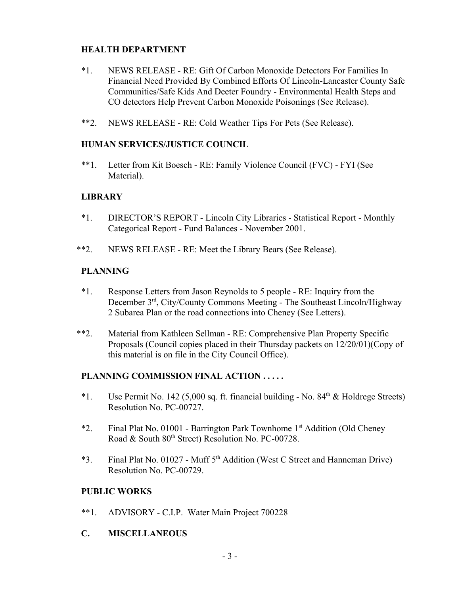### **HEALTH DEPARTMENT**

- \*1. NEWS RELEASE RE: Gift Of Carbon Monoxide Detectors For Families In Financial Need Provided By Combined Efforts Of Lincoln-Lancaster County Safe Communities/Safe Kids And Deeter Foundry - Environmental Health Steps and CO detectors Help Prevent Carbon Monoxide Poisonings (See Release).
- \*\*2. NEWS RELEASE RE: Cold Weather Tips For Pets (See Release).

#### **HUMAN SERVICES/JUSTICE COUNCIL**

\*\*1. Letter from Kit Boesch - RE: Family Violence Council (FVC) - FYI (See Material).

### **LIBRARY**

- \*1. DIRECTOR'S REPORT Lincoln City Libraries Statistical Report Monthly Categorical Report - Fund Balances - November 2001.
- \*\*2. NEWS RELEASE RE: Meet the Library Bears (See Release).

### **PLANNING**

- \*1. Response Letters from Jason Reynolds to 5 people RE: Inquiry from the December 3rd, City/County Commons Meeting - The Southeast Lincoln/Highway 2 Subarea Plan or the road connections into Cheney (See Letters).
- \*\*2. Material from Kathleen Sellman RE: Comprehensive Plan Property Specific Proposals (Council copies placed in their Thursday packets on 12/20/01)(Copy of this material is on file in the City Council Office).

### **PLANNING COMMISSION FINAL ACTION . . . . .**

- \*1. Use Permit No. 142 (5,000 sq. ft. financial building No.  $84<sup>th</sup> \&$  Holdrege Streets) Resolution No. PC-00727.
- \*2. Final Plat No. 01001 Barrington Park Townhome 1st Addition (Old Cheney Road & South 80th Street) Resolution No. PC-00728.
- \*3. Final Plat No. 01027 Muff  $5<sup>th</sup>$  Addition (West C Street and Hanneman Drive) Resolution No. PC-00729.

### **PUBLIC WORKS**

- \*\*1. ADVISORY C.I.P. Water Main Project 700228
- **C. MISCELLANEOUS**